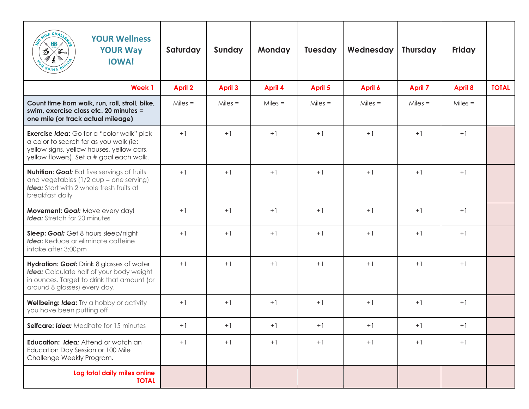| AILE CHA<br><b>YOUR Wellness</b><br>SB<br><b>YOUR Way</b><br>ే<br><b>IOWA!</b>                                                                                                      | Saturday       | Sunday         | <b>Monday</b>  | <b>Tuesday</b> | Wednesday | <b>Thursday</b> | <b>Friday</b>  |              |
|-------------------------------------------------------------------------------------------------------------------------------------------------------------------------------------|----------------|----------------|----------------|----------------|-----------|-----------------|----------------|--------------|
| <b>Week1</b>                                                                                                                                                                        | <b>April 2</b> | <b>April 3</b> | <b>April 4</b> | April 5        | April 6   | <b>April 7</b>  | <b>April 8</b> | <b>TOTAL</b> |
| Count time from walk, run, roll, stroll, bike,<br>swim, exercise class etc. 20 minutes =<br>one mile (or track actual mileage)                                                      | $Miles =$      | $Miles =$      | $Miles =$      | $Miles =$      | $Miles =$ | $Miles =$       | $Miles =$      |              |
| <b>Exercise Idea:</b> Go for a "color walk" pick<br>a color to search for as you walk (ie:<br>yellow signs, yellow houses, yellow cars,<br>yellow flowers). Set a # goal each walk. | $+1$           | $+1$           | $+1$           | $+1$           | $+1$      | $+1$            | $+1$           |              |
| <b>Nutrition: Goal:</b> Eat five servings of fruits<br>and vegetables (1/2 cup = one serving)<br><b>Idea:</b> Start with 2 whole fresh fruits at<br>breakfast daily                 | $+1$           | $+1$           | $+1$           | $+1$           | $+1$      | $+1$            | $+1$           |              |
| Movement: Goal: Move every day!<br><b>Idea:</b> Stretch for 20 minutes                                                                                                              | $+1$           | $+1$           | $+1$           | $+1$           | $+1$      | $+1$            | $+1$           |              |
| Sleep: Goal: Get 8 hours sleep/night<br>Idea: Reduce or eliminate caffeine<br>intake after 3:00pm                                                                                   | $+1$           | $+1$           | $+1$           | $+1$           | $+1$      | $+1$            | $+1$           |              |
| Hydration: Goal: Drink 8 glasses of water<br>Idea: Calculate half of your body weight<br>in ounces. Target to drink that amount (or<br>around 8 glasses) every day.                 | $+1$           | $+1$           | $+1$           | $+1$           | $+1$      | $+1$            | $+1$           |              |
| Wellbeing: Idea: Try a hobby or activity<br>you have been putting off                                                                                                               | $+1$           | $+1$           | $+1$           | $+1$           | $+1$      | $+1$            | $+1$           |              |
| Selfcare: Idea: Meditate for 15 minutes                                                                                                                                             | $+1$           | $+1$           | $+1$           | $+1$           | $+1$      | $+1$            | $+1$           |              |
| Education: Idea; Attend or watch an<br>Education Day Session or 100 Mile<br>Challenge Weekly Program.                                                                               | $+1$           | $+1$           | $+1$           | $+1$           | $+1$      | $+1$            | $+1$           |              |
| Log total daily miles online<br><b>TOTAL</b>                                                                                                                                        |                |                |                |                |           |                 |                |              |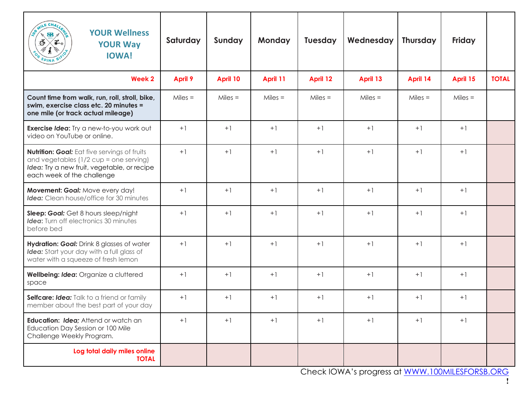| MILE CHA<br><b>YOUR Wellness</b><br>SB.<br>Ő<br><b>YOUR Way</b><br><b>IOWA!</b>                                                                                            | Saturday       | Sunday    | <b>Monday</b> | <b>Tuesday</b> | Wednesday                                              | <b>Thursday</b> | Friday    |              |
|----------------------------------------------------------------------------------------------------------------------------------------------------------------------------|----------------|-----------|---------------|----------------|--------------------------------------------------------|-----------------|-----------|--------------|
| Week 2                                                                                                                                                                     | <b>April 9</b> | April 10  | April 11      | April 12       | April 13                                               | April 14        | April 15  | <b>TOTAL</b> |
| Count time from walk, run, roll, stroll, bike,<br>swim, exercise class etc. 20 minutes =<br>one mile (or track actual mileage)                                             | $Miles =$      | $Miles =$ | $Miles =$     | $Miles =$      | $Miles =$                                              | $Miles =$       | $Miles =$ |              |
| Exercise Idea: Try a new-to-you work out<br>video on YouTube or online.                                                                                                    | $+1$           | $+1$      | $+1$          | $+1$           | $+1$                                                   | $+1$            | $+1$      |              |
| <b>Nutrition: Goal:</b> Eat five servings of fruits<br>and vegetables (1/2 cup = one serving)<br>Idea: Try a new fruit, vegetable, or recipe<br>each week of the challenge | $+1$           | $+1$      | $+1$          | $+1$           | $+1$                                                   | $+1$            | $+1$      |              |
| Movement: Goal: Move every day!<br><b>Idea:</b> Clean house/office for 30 minutes                                                                                          | $+1$           | $+1$      | $+1$          | $+1$           | $+1$                                                   | $+1$            | $+1$      |              |
| Sleep: Goal: Get 8 hours sleep/night<br><b>Idea:</b> Turn off electronics 30 minutes<br>before bed                                                                         | $+1$           | $+1$      | $+1$          | $+1$           | $+1$                                                   | $+1$            | $+1$      |              |
| Hydration: Goal: Drink 8 glasses of water<br>Idea: Start your day with a full glass of<br>water with a squeeze of fresh lemon                                              | $+1$           | $+1$      | $+1$          | $+1$           | $+1$                                                   | $+1$            | $+1$      |              |
| Wellbeing: Idea: Organize a cluttered<br>space                                                                                                                             | $+1$           | $+1$      | $+1$          | $+1$           | $+1$                                                   | $+1$            | $+1$      |              |
| Selfcare: Idea: Talk to a friend or family<br>member about the best part of your day                                                                                       | $+1$           | $+1$      | $+1$          | $+1$           | $+1$                                                   | $+1$            | $+1$      |              |
| Education: Idea; Attend or watch an<br>Education Day Session or 100 Mile<br>Challenge Weekly Program.                                                                      | $+1$           | $+1$      | $+1$          | $+1$           | $+1$                                                   | $+1$            | $+1$      |              |
| Log total daily miles online<br><b>TOTAL</b>                                                                                                                               |                |           |               |                | $ChackIONIN!$ corrected at $MININ!$ 100 AU ECEODER ORC |                 |           |              |

Check IOWA's progress at WWW.100MILESFORSB.ORG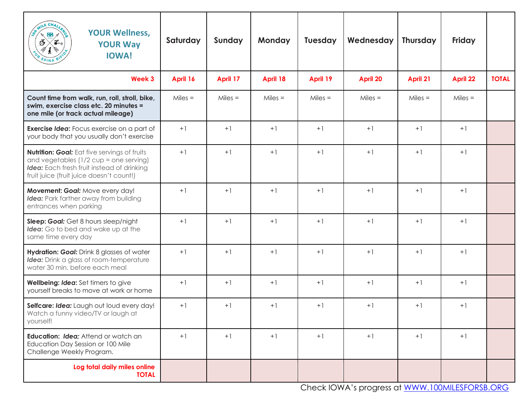| AILE CHAI<br><b>YOUR Wellness,</b><br>$\mathbf{B}$<br>ී<br>′ີີ້<br><b>YOUR Way</b><br><b>IOWA!</b>                                                                                 | Saturday  | Sunday    | <b>Monday</b> | <b>Tuesday</b> | Wednesday       | Thursday  | <b>Friday</b>   |              |
|------------------------------------------------------------------------------------------------------------------------------------------------------------------------------------|-----------|-----------|---------------|----------------|-----------------|-----------|-----------------|--------------|
| Week 3                                                                                                                                                                             | April 16  | April 17  | April 18      | April 19       | <b>April 20</b> | April 21  | <b>April 22</b> | <b>TOTAL</b> |
| Count time from walk, run, roll, stroll, bike,<br>swim, exercise class etc. 20 minutes =<br>one mile (or track actual mileage)                                                     | $Miles =$ | $Miles =$ | $Miles =$     | $Miles =$      | $Miles =$       | $Miles =$ | $Miles =$       |              |
| <b>Exercise Idea:</b> Focus exercise on a part of<br>your body that you usually don't exercise                                                                                     | $+1$      | $+1$      | $+1$          | $+1$           | $+1$            | $+1$      | $+1$            |              |
| Nutrition: Goal: Eat five servings of fruits<br>and vegetables $(1/2$ cup = one serving)<br>Idea: Each fresh fruit instead of drinking<br>fruit juice (fruit juice doesn't count!) | $+1$      | $+1$      | $+1$          | $+1$           | $+1$            | $+1$      | $+1$            |              |
| Movement: Goal: Move every day!<br>Idea: Park farther away from building<br>entrances when parking                                                                                 | $+1$      | $+1$      | $+1$          | $+1$           | $+1$            | $+1$      | $+1$            |              |
| Sleep: Goal: Get 8 hours sleep/night<br>Idea: Go to bed and wake up at the<br>same time every day                                                                                  | $+1$      | $+1$      | $+1$          | $+1$           | $+1$            | $+1$      | $+1$            |              |
| Hydration: Goal: Drink 8 glasses of water<br>Idea: Drink a glass of room-temperature<br>water 30 min. before each meal                                                             | $+1$      | $+1$      | $+1$          | $+1$           | $+1$            | $+1$      | $+1$            |              |
| Wellbeing: Idea: Set timers to give<br>yourself breaks to move at work or home                                                                                                     | $+1$      | $+1$      | $+1$          | $+1$           | $+1$            | $+1$      | $+1$            |              |
| Selfcare: Idea: Laugh out loud every day!<br>Watch a funny video/TV or laugh at<br>yourself!                                                                                       | $+1$      | $+1$      | $+1$          | $+1$           | $+1$            | $+1$      | $+1$            |              |
| Education: Idea; Attend or watch an<br>Education Day Session or 100 Mile<br>Challenge Weekly Program.                                                                              | $+1$      | $+1$      | $+1$          | $+1$           | $+1$            | $+1$      | $+1$            |              |
| Log total daily miles online<br><b>TOTAL</b>                                                                                                                                       |           |           |               |                |                 |           |                 |              |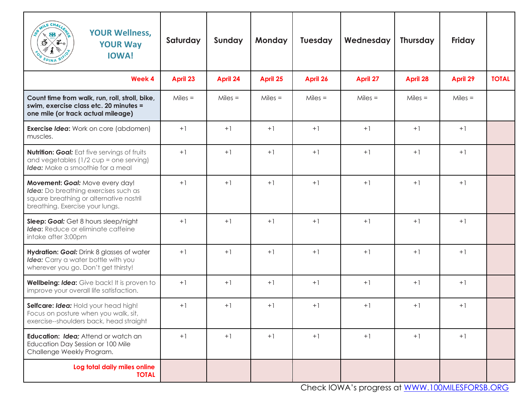| AILE CHAI<br><b>YOUR Wellness,</b><br>$\mathbf{B}$<br>ő<br>∕ ∂∸∈<br><b>YOUR Way</b><br><b>IOWA!</b>                                                   | Saturday  | Sunday          | <b>Monday</b> | <b>Tuesday</b> | Wednesday       | <b>Thursday</b> | <b>Friday</b>   |              |
|-------------------------------------------------------------------------------------------------------------------------------------------------------|-----------|-----------------|---------------|----------------|-----------------|-----------------|-----------------|--------------|
| <b>Week 4</b>                                                                                                                                         | April 23  | <b>April 24</b> | April 25      | April 26       | <b>April 27</b> | April 28        | <b>April 29</b> | <b>TOTAL</b> |
| Count time from walk, run, roll, stroll, bike,<br>swim, exercise class etc. 20 minutes =<br>one mile (or track actual mileage)                        | $Miles =$ | $Miles =$       | $Miles =$     | $Miles =$      | $Miles =$       | $Miles =$       | $Miles =$       |              |
| <b>Exercise Idea:</b> Work on core (abdomen)<br>muscles.                                                                                              | $+1$      | $+1$            | $+1$          | $+1$           | $+1$            | $+1$            | $+1$            |              |
| <b>Nutrition: Goal:</b> Eat five servings of fruits<br>and vegetables $(1/2$ cup = one serving)<br><b>Idea:</b> Make a smoothie for a meal            | $+1$      | $+1$            | $+1$          | $+1$           | $+1$            | $+1$            | $+1$            |              |
| Movement: Goal: Move every day!<br>Idea: Do breathing exercises such as<br>square breathing or alternative nostril<br>breathing. Exercise your lungs. | $+1$      | $+1$            | $+1$          | $+1$           | $+1$            | $+1$            | $+1$            |              |
| Sleep: Goal: Get 8 hours sleep/night<br>Idea: Reduce or eliminate caffeine<br>intake after 3:00pm                                                     | $+1$      | $+1$            | $+1$          | $+1$           | $+1$            | $+1$            | $+1$            |              |
| Hydration: Goal: Drink 8 glasses of water<br>Idea: Carry a water bottle with you<br>wherever you go. Don't get thirsty!                               | $+1$      | $+1$            | $+1$          | $+1$           | $+1$            | $+1$            | $+1$            |              |
| Wellbeing: Idea: Give back! It is proven to<br>improve your overall life satisfaction.                                                                | $+1$      | $+1$            | $+1$          | $+1$           | $+1$            | $+1$            | $+1$            |              |
| Selfcare: Idea: Hold your head high!<br>Focus on posture when you walk, sit,<br>exercise--shoulders back, head straight                               | $+1$      | $+1$            | $+1$          | $+1$           | $+1$            | $+1$            | $+1$            |              |
| Education: Idea: Attend or watch an<br>Education Day Session or 100 Mile<br>Challenge Weekly Program.                                                 | $+1$      | $+1$            | $+1$          | $+1$           | $+1$            | $+1$            | $+1$            |              |
| Log total daily miles online<br><b>TOTAL</b>                                                                                                          |           |                 |               |                |                 |                 |                 |              |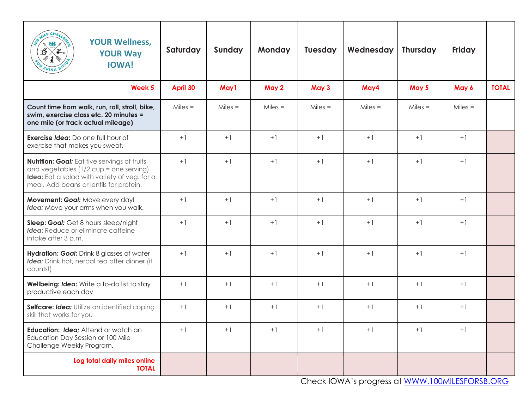| <b>ILE CHAZ</b><br><b>YOUR Wellness,</b><br>$\mathbf{B}$<br>∕ ∂∸∈<br>ő<br><b>YOUR Way</b><br><b>IOWA!</b>                                                                                | Saturday  | Sunday    | <b>Monday</b> | <b>Tuesday</b> | Wednesday | <b>Thursday</b> | <b>Friday</b> |              |
|------------------------------------------------------------------------------------------------------------------------------------------------------------------------------------------|-----------|-----------|---------------|----------------|-----------|-----------------|---------------|--------------|
| Week 5                                                                                                                                                                                   | April 30  | May1      | May 2         | May 3          | May4      | May 5           | May 6         | <b>TOTAL</b> |
| Count time from walk, run, roll, stroll, bike,<br>swim, exercise class etc. 20 minutes =<br>one mile (or track actual mileage)                                                           | $Miles =$ | $Miles =$ | $Miles =$     | $Miles =$      | $Miles =$ | $Miles =$       | $Miles =$     |              |
| <b>Exercise Idea:</b> Do one full hour of<br>exercise that makes you sweat.                                                                                                              | $+1$      | $+1$      | $+1$          | $+1$           | $+1$      | $+1$            | $+1$          |              |
| <b>Nutrition: Goal:</b> Eat five servings of fruits<br>and vegetables (1/2 cup = one serving)<br>Idea: Eat a salad with variety of veg. for a<br>meal. Add beans or lentils for protein. | $+1$      | $+1$      | $+1$          | $+1$           | $+1$      | $+1$            | $+1$          |              |
| Movement: Goal: Move every day!<br>Idea: Move your arms when you walk.                                                                                                                   | $+1$      | $+1$      | $+1$          | $+1$           | $+1$      | $+1$            | $+1$          |              |
| Sleep: Goal: Get 8 hours sleep/night<br>Idea: Reduce or eliminate caffeine<br>intake after 3 p.m.                                                                                        | $+1$      | $+1$      | $+1$          | $+1$           | $+1$      | $+1$            | $+1$          |              |
| Hydration: Goal: Drink 8 glasses of water<br>Idea: Drink hot, herbal tea after dinner (it<br>counts!)                                                                                    | $+1$      | $+1$      | $+1$          | $+1$           | $+1$      | $+1$            | $+1$          |              |
| Wellbeing: Idea: Write a to-do list to stay<br>productive each day                                                                                                                       | $+1$      | $+1$      | $+1$          | $+1$           | $+1$      | $+1$            | $+1$          |              |
| Selfcare: Idea: Utilize an identified coping<br>skill that works for you                                                                                                                 | $+1$      | $+1$      | $+1$          | $+1$           | $+1$      | $+1$            | $+1$          |              |
| Education: Idea; Attend or watch an<br>Education Day Session or 100 Mile<br>Challenge Weekly Program.                                                                                    | $+1$      | $+1$      | $+1$          | $+1$           | $+1$      | $+1$            | $+1$          |              |
| Log total daily miles online<br><b>TOTAL</b>                                                                                                                                             |           |           |               |                |           |                 |               |              |

Check IOWA's progress at WWW.100MILESFORSB.ORG